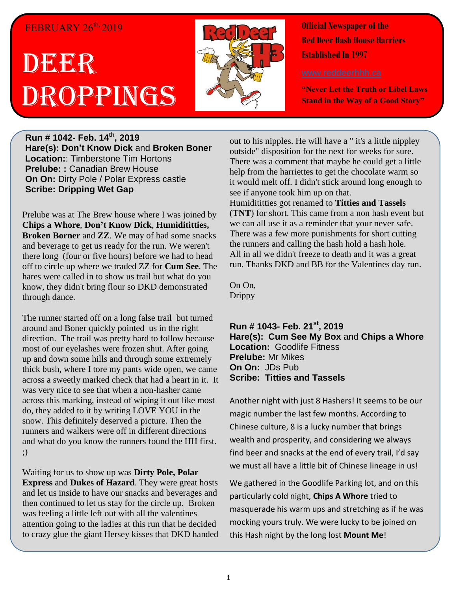## FEBRUARY 26<sup>th,</sup> 2019

## DBGRR Droppings



**Official Newspaper of the Red Deer Hash House Harriers Established In 1997** 

**"Never Let the Truth or Libel Laws Stand in the Way of a Good Story"**

**Run # 1042- Feb. 14 th , 2019 Hare(s): Don't Know Dick** and **Broken Boner Location:**: Timberstone Tim Hortons **Prelube: :** Canadian Brew House **On On:** Dirty Pole / Polar Express castle **Scribe: Dripping Wet Gap**

Prelube was at The Brew house where I was joined by **Chips a Whore**, **Don't Know Dick**, **Humidititties, Broken Borner** and **ZZ**. We may of had some snacks and beverage to get us ready for the run. We weren't there long (four or five hours) before we had to head off to circle up where we traded ZZ for **Cum See**. The hares were called in to show us trail but what do you know, they didn't bring flour so DKD demonstrated through dance.

The runner started off on a long false trail but turned around and Boner quickly pointed us in the right direction. The trail was pretty hard to follow because most of our eyelashes were frozen shut. After going up and down some hills and through some extremely thick bush, where I tore my pants wide open, we came across a sweetly marked check that had a heart in it. It was very nice to see that when a non-hasher came across this marking, instead of wiping it out like most do, they added to it by writing LOVE YOU in the snow. This definitely deserved a picture. Then the runners and walkers were off in different directions and what do you know the runners found the HH first. ;)

Waiting for us to show up was **Dirty Pole, Polar Express** and **Dukes of Hazard**. They were great hosts and let us inside to have our snacks and beverages and then continued to let us stay for the circle up. Broken was feeling a little left out with all the valentines attention going to the ladies at this run that he decided to crazy glue the giant Hersey kisses that DKD handed

out to his nipples. He will have a " it's a little nippley outside" disposition for the next for weeks for sure. There was a comment that maybe he could get a little help from the harriettes to get the chocolate warm so it would melt off. I didn't stick around long enough to see if anyone took him up on that. Humidititties got renamed to **Titties and Tassels** (**TNT**) for short. This came from a non hash event but we can all use it as a reminder that your never safe. There was a few more punishments for short cutting the runners and calling the hash hold a hash hole. All in all we didn't freeze to death and it was a great run. Thanks DKD and BB for the Valentines day run.

On On, Drippy

**Run # 1043- Feb. 21 st, 2019 Hare(s): Cum See My Box** and **Chips a Whore Location:** Goodlife Fitness **Prelube:** Mr Mikes **On On:** JDs Pub **Scribe: Titties and Tassels**

Another night with just 8 Hashers! It seems to be our magic number the last few months. According to Chinese culture, 8 is a lucky number that brings wealth and prosperity, and considering we always find beer and snacks at the end of every trail, I'd say we must all have a little bit of Chinese lineage in us!

We gathered in the Goodlife Parking lot, and on this particularly cold night, **Chips A Whore** tried to masquerade his warm ups and stretching as if he was mocking yours truly. We were lucky to be joined on this Hash night by the long lost **Mount Me**!